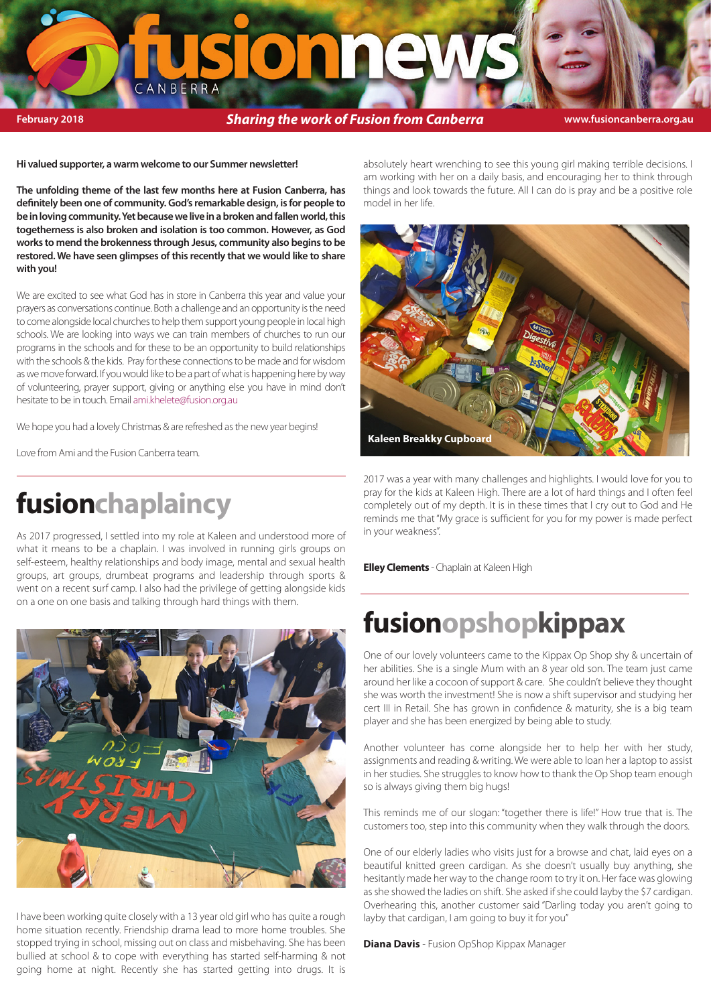# oj al ale ANBERRA

**February 2018 Sharing the work of Fusion from Canberra www.fusioncanberra.org.au fusion canberra.org.au fusionshop** 

**Hi valued supporter, a warm welcome to our Summer newsletter!** 

**The unfolding theme of the last few months here at Fusion Canberra, has**  definitely been one of community. God's remarkable design, is for people to **be in loving community. Yet because we live in a broken and fallen world, this togetherness is also broken and isolation is too common. However, as God works to mend the brokenness through Jesus, community also begins to be restored. We have seen glimpses of this recently that we would like to share with you!** 

We are excited to see what God has in store in Canberra this year and value your prayers as conversations continue. Both a challenge and an opportunity is the need to come alongside local churches to help them support young people in local high schools. We are looking into ways we can train members of churches to run our programs in the schools and for these to be an opportunity to build relationships with the schools & the kids. Pray for these connections to be made and for wisdom as we move forward. If you would like to be a part of what is happening here by way of volunteering, prayer support, giving or anything else you have in mind don't hesitate to be in touch. Email ami.khelete@fusion.org.au

We hope you had a lovely Christmas & are refreshed as the new year begins!

Love from Ami and the Fusion Canberra team.

## **fusionchaplaincy**

As 2017 progressed, I settled into my role at Kaleen and understood more of what it means to be a chaplain. I was involved in running girls groups on self-esteem, healthy relationships and body image, mental and sexual health groups, art groups, drumbeat programs and leadership through sports & went on a recent surf camp. I also had the privilege of getting alongside kids on a one on one basis and talking through hard things with them.



I have been working quite closely with a 13 year old girl who has quite a rough home situation recently. Friendship drama lead to more home troubles. She stopped trying in school, missing out on class and misbehaving. She has been bullied at school & to cope with everything has started self-harming & not going home at night. Recently she has started getting into drugs. It is

absolutely heart wrenching to see this young girl making terrible decisions. I am working with her on a daily basis, and encouraging her to think through things and look towards the future. All I can do is pray and be a positive role model in her life.



2017 was a year with many challenges and highlights. I would love for you to pray for the kids at Kaleen High. There are a lot of hard things and I often feel completely out of my depth. It is in these times that I cry out to God and He reminds me that "My grace is sufficient for you for my power is made perfect in your weakness".

**Elley Clements** - Chaplain at Kaleen High

# **fusionopshopkippax**

One of our lovely volunteers came to the Kippax Op Shop shy & uncertain of her abilities. She is a single Mum with an 8 year old son. The team just came around her like a cocoon of support & care. She couldn't believe they thought she was worth the investment! She is now a shift supervisor and studying her cert III in Retail. She has grown in confidence & maturity, she is a big team player and she has been energized by being able to study.

Another volunteer has come alongside her to help her with her study, assignments and reading & writing. We were able to loan her a laptop to assist in her studies. She struggles to know how to thank the Op Shop team enough so is always giving them big hugs!

This reminds me of our slogan: "together there is life!" How true that is. The customers too, step into this community when they walk through the doors.

One of our elderly ladies who visits just for a browse and chat, laid eyes on a beautiful knitted green cardigan. As she doesn't usually buy anything, she hesitantly made her way to the change room to try it on. Her face was glowing as she showed the ladies on shift. She asked if she could layby the \$7 cardigan. Overhearing this, another customer said "Darling today you aren't going to layby that cardigan, I am going to buy it for you"

**Diana Davis** - Fusion OpShop Kippax Manager